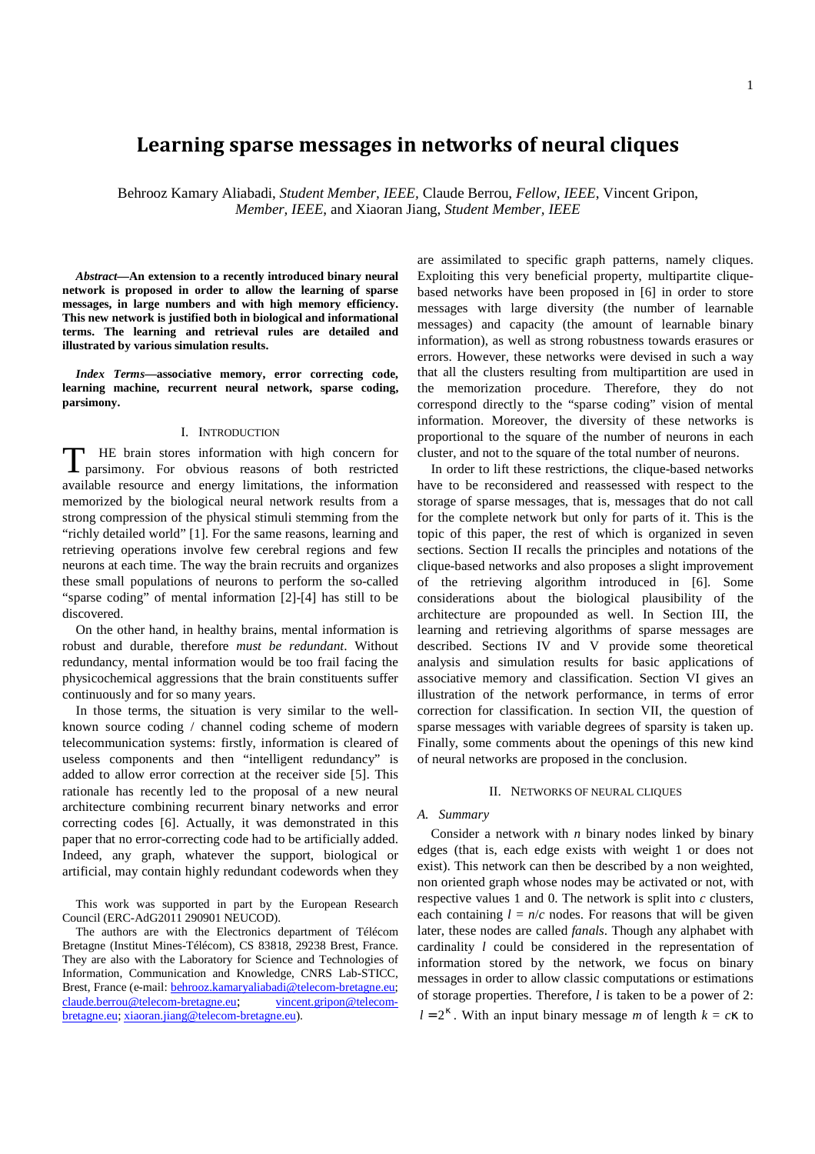# 1

# **Learning sparse messages in networks of neural cliques**

Behrooz Kamary Aliabadi, *Student Member, IEEE,* Claude Berrou, *Fellow, IEEE*, Vincent Gripon, *Member, IEEE*, and Xiaoran Jiang, *Student Member, IEEE*

*Abstract***—An extension to a recently introduced binary neural network is proposed in order to allow the learning of sparse messages, in large numbers and with high memory efficiency. This new network is justified both in biological and informational terms. The learning and retrieval rules are detailed and illustrated by various simulation results.** 

*Index Terms***—associative memory, error correcting code, learning machine, recurrent neural network, sparse coding, parsimony.** 

# I. INTRODUCTION

HE brain stores information with high concern for The brain stores information with high concern for parsimony. For obvious reasons of both restricted available resource and energy limitations, the information memorized by the biological neural network results from a strong compression of the physical stimuli stemming from the "richly detailed world" [1]. For the same reasons, learning and retrieving operations involve few cerebral regions and few neurons at each time. The way the brain recruits and organizes these small populations of neurons to perform the so-called "sparse coding" of mental information [2]-[4] has still to be discovered.

On the other hand, in healthy brains, mental information is robust and durable, therefore *must be redundant*. Without redundancy, mental information would be too frail facing the physicochemical aggressions that the brain constituents suffer continuously and for so many years.

In those terms, the situation is very similar to the wellknown source coding / channel coding scheme of modern telecommunication systems: firstly, information is cleared of useless components and then "intelligent redundancy" is added to allow error correction at the receiver side [5]. This rationale has recently led to the proposal of a new neural architecture combining recurrent binary networks and error correcting codes [6]. Actually, it was demonstrated in this paper that no error-correcting code had to be artificially added. Indeed, any graph, whatever the support, biological or artificial, may contain highly redundant codewords when they

This work was supported in part by the European Research Council (ERC-AdG2011 290901 NEUCOD).

The authors are with the Electronics department of Télécom Bretagne (Institut Mines-Télécom), CS 83818, 29238 Brest, France. They are also with the Laboratory for Science and Technologies of Information, Communication and Knowledge, CNRS Lab-STICC, Brest, France (e-mail: behrooz.kamaryaliabadi@telecom-bretagne.eu; claude.berrou@telecom-bretagne.eu; vincent.gripon@telecombretagne.eu; xiaoran.jiang@telecom-bretagne.eu).

are assimilated to specific graph patterns, namely cliques. Exploiting this very beneficial property, multipartite cliquebased networks have been proposed in [6] in order to store messages with large diversity (the number of learnable messages) and capacity (the amount of learnable binary information), as well as strong robustness towards erasures or errors. However, these networks were devised in such a way that all the clusters resulting from multipartition are used in the memorization procedure. Therefore, they do not correspond directly to the "sparse coding" vision of mental information. Moreover, the diversity of these networks is proportional to the square of the number of neurons in each cluster, and not to the square of the total number of neurons.

In order to lift these restrictions, the clique-based networks have to be reconsidered and reassessed with respect to the storage of sparse messages, that is, messages that do not call for the complete network but only for parts of it. This is the topic of this paper, the rest of which is organized in seven sections. Section II recalls the principles and notations of the clique-based networks and also proposes a slight improvement of the retrieving algorithm introduced in [6]. Some considerations about the biological plausibility of the architecture are propounded as well. In Section III, the learning and retrieving algorithms of sparse messages are described. Sections IV and V provide some theoretical analysis and simulation results for basic applications of associative memory and classification. Section VI gives an illustration of the network performance, in terms of error correction for classification. In section VII, the question of sparse messages with variable degrees of sparsity is taken up. Finally, some comments about the openings of this new kind of neural networks are proposed in the conclusion.

#### II. NETWORKS OF NEURAL CLIQUES

## *A. Summary*

Consider a network with *n* binary nodes linked by binary edges (that is, each edge exists with weight 1 or does not exist). This network can then be described by a non weighted, non oriented graph whose nodes may be activated or not, with respective values 1 and 0. The network is split into *c* clusters, each containing  $l = n/c$  nodes. For reasons that will be given later, these nodes are called *fanals*. Though any alphabet with cardinality *l* could be considered in the representation of information stored by the network, we focus on binary messages in order to allow classic computations or estimations of storage properties. Therefore, *l* is taken to be a power of 2:  $l = 2^{\kappa}$ . With an input binary message *m* of length  $k = c\kappa$  to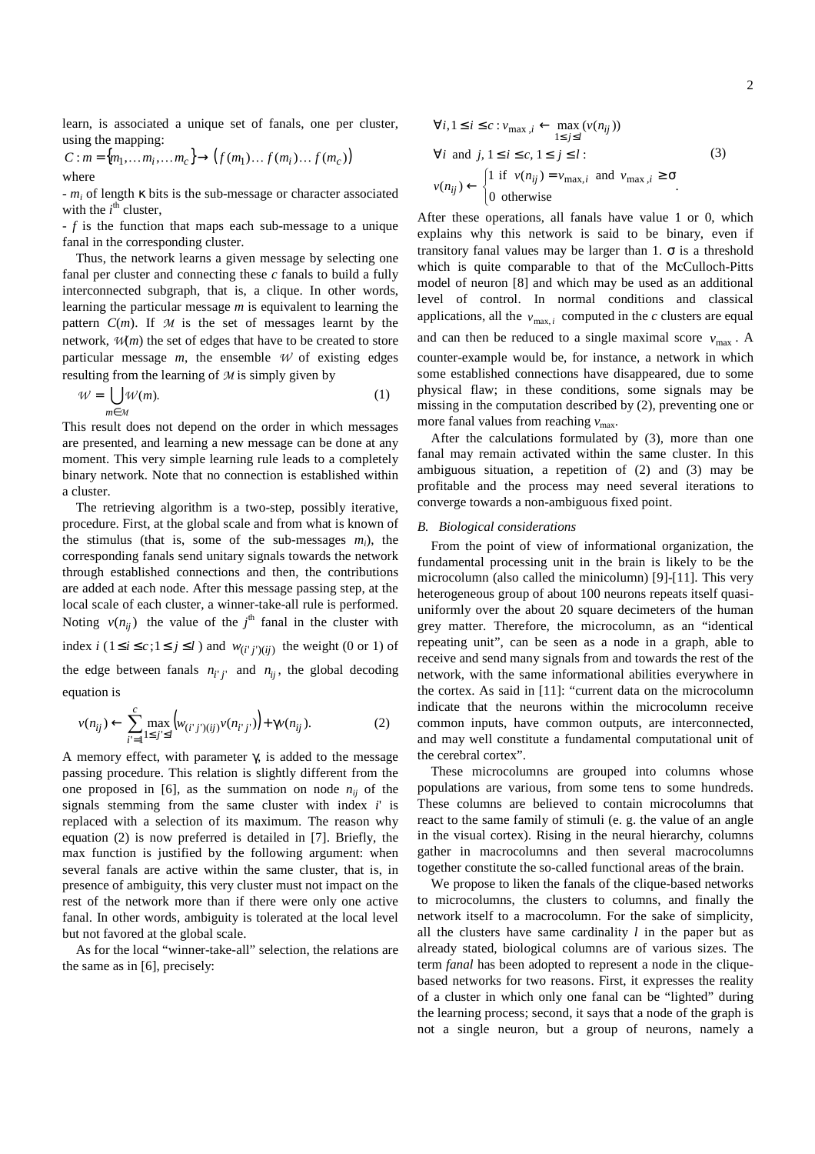learn, is associated a unique set of fanals, one per cluster, using the mapping:

$$
C: m = \{m_1, \dots m_i, \dots m_c\} \rightarrow (f(m_1) \dots f(m_i) \dots f(m_c))
$$
  
where

- *m<sup>i</sup>* of length κ bits is the sub-message or character associated with the  $i^{\text{th}}$  cluster,

- *f* is the function that maps each sub-message to a unique fanal in the corresponding cluster.

Thus, the network learns a given message by selecting one fanal per cluster and connecting these *c* fanals to build a fully interconnected subgraph, that is, a clique. In other words, learning the particular message *m* is equivalent to learning the pattern  $C(m)$ . If  $M$  is the set of messages learnt by the network, *W*(*m*) the set of edges that have to be created to store particular message  $m$ , the ensemble  $W$  of existing edges resulting from the learning of *M* is simply given by

$$
\mathcal{W} = \bigcup_{m \in \mathcal{M}} \mathcal{W}(m). \tag{1}
$$

This result does not depend on the order in which messages are presented, and learning a new message can be done at any moment. This very simple learning rule leads to a completely binary network. Note that no connection is established within a cluster.

The retrieving algorithm is a two-step, possibly iterative, procedure. First, at the global scale and from what is known of the stimulus (that is, some of the sub-messages *mi*), the corresponding fanals send unitary signals towards the network through established connections and then, the contributions are added at each node. After this message passing step, at the local scale of each cluster, a winner-take-all rule is performed. Noting  $v(n_{ij})$  the value of the *j*<sup>th</sup> fanal in the cluster with index *i* (1≤*i* ≤ *c*;1≤ *j* ≤*l*) and  $w_{(i'j')(ij)}$  the weight (0 or 1) of the edge between fanals  $n_{i'j'}$  and  $n_{ij}$ , the global decoding equation is

$$
v(n_{ij}) \leftarrow \sum_{i'=1}^{c} \max_{1 \le j' \le l} \left( w_{(i'j')(ij)} v(n_{i'j'}) \right) + \gamma v(n_{ij}). \tag{2}
$$

A memory effect, with parameter  $γ$ , is added to the message passing procedure. This relation is slightly different from the one proposed in [6], as the summation on node  $n_{ii}$  of the signals stemming from the same cluster with index *i*' is replaced with a selection of its maximum. The reason why equation (2) is now preferred is detailed in [7]. Briefly, the max function is justified by the following argument: when several fanals are active within the same cluster, that is, in presence of ambiguity, this very cluster must not impact on the rest of the network more than if there were only one active fanal. In other words, ambiguity is tolerated at the local level but not favored at the global scale.

As for the local "winner-take-all" selection, the relations are the same as in [6], precisely:

$$
\forall i, 1 \le i \le c : v_{\max, i} \leftarrow \max_{1 \le j \le l} (v(n_{ij}))
$$
  
\n
$$
\forall i \text{ and } j, 1 \le i \le c, 1 \le j \le l:
$$
  
\n
$$
v(n_{ij}) \leftarrow \begin{cases} 1 \text{ if } v(n_{ij}) = v_{\max, i} \text{ and } v_{\max, i} \ge \sigma \\ 0 \text{ otherwise} \end{cases}
$$
  
\n(3)

After these operations, all fanals have value 1 or 0, which explains why this network is said to be binary, even if transitory fanal values may be larger than 1.  $\sigma$  is a threshold which is quite comparable to that of the McCulloch-Pitts model of neuron [8] and which may be used as an additional level of control. In normal conditions and classical applications, all the  $v_{\text{max}, i}$  computed in the *c* clusters are equal and can then be reduced to a single maximal score  $v_{\text{max}}$ . A counter-example would be, for instance, a network in which some established connections have disappeared, due to some physical flaw; in these conditions, some signals may be missing in the computation described by (2), preventing one or more fanal values from reaching  $v_{\text{max}}$ .

After the calculations formulated by (3), more than one fanal may remain activated within the same cluster. In this ambiguous situation, a repetition of (2) and (3) may be profitable and the process may need several iterations to converge towards a non-ambiguous fixed point.

#### *B. Biological considerations*

From the point of view of informational organization, the fundamental processing unit in the brain is likely to be the microcolumn (also called the minicolumn) [9]-[11]. This very heterogeneous group of about 100 neurons repeats itself quasiuniformly over the about 20 square decimeters of the human grey matter. Therefore, the microcolumn, as an "identical repeating unit", can be seen as a node in a graph, able to receive and send many signals from and towards the rest of the network, with the same informational abilities everywhere in the cortex. As said in [11]: "current data on the microcolumn indicate that the neurons within the microcolumn receive common inputs, have common outputs, are interconnected, and may well constitute a fundamental computational unit of the cerebral cortex".

These microcolumns are grouped into columns whose populations are various, from some tens to some hundreds. These columns are believed to contain microcolumns that react to the same family of stimuli (e. g. the value of an angle in the visual cortex). Rising in the neural hierarchy, columns gather in macrocolumns and then several macrocolumns together constitute the so-called functional areas of the brain.

We propose to liken the fanals of the clique-based networks to microcolumns, the clusters to columns, and finally the network itself to a macrocolumn. For the sake of simplicity, all the clusters have same cardinality *l* in the paper but as already stated, biological columns are of various sizes. The term *fanal* has been adopted to represent a node in the cliquebased networks for two reasons. First, it expresses the reality of a cluster in which only one fanal can be "lighted" during the learning process; second, it says that a node of the graph is not a single neuron, but a group of neurons, namely a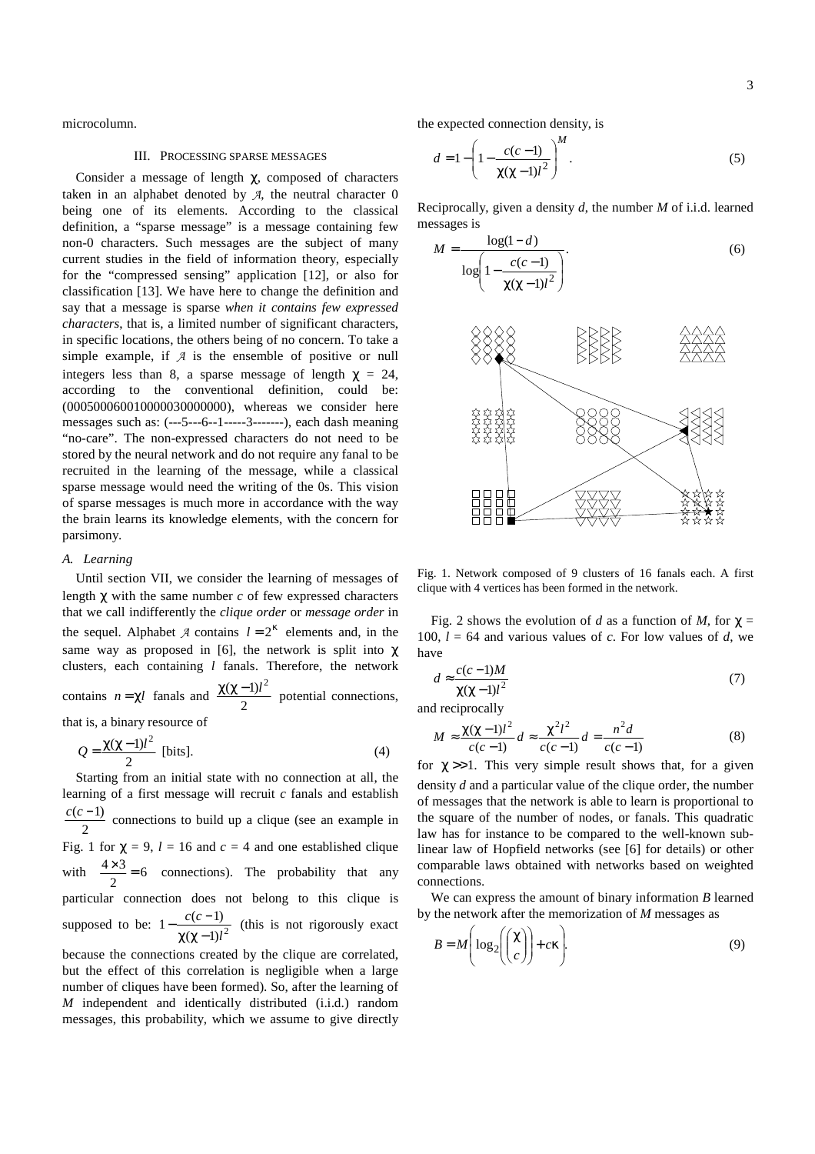3

microcolumn.

#### III. PROCESSING SPARSE MESSAGES

Consider a message of length  $\chi$ , composed of characters taken in an alphabet denoted by  $A$ , the neutral character  $0$ being one of its elements. According to the classical definition, a "sparse message" is a message containing few non-0 characters. Such messages are the subject of many current studies in the field of information theory, especially for the "compressed sensing" application [12], or also for classification [13]. We have here to change the definition and say that a message is sparse *when it contains few expressed characters*, that is, a limited number of significant characters, in specific locations, the others being of no concern. To take a simple example, if  $A$  is the ensemble of positive or null integers less than 8, a sparse message of length  $\gamma = 24$ , according to the conventional definition, could be: (000500060010000030000000), whereas we consider here messages such as: (---5---6--1-----3-------), each dash meaning "no-care". The non-expressed characters do not need to be stored by the neural network and do not require any fanal to be recruited in the learning of the message, while a classical sparse message would need the writing of the 0s. This vision of sparse messages is much more in accordance with the way the brain learns its knowledge elements, with the concern for parsimony.

## *A. Learning*

Until section VII, we consider the learning of messages of length χ with the same number *c* of few expressed characters that we call indifferently the *clique order* or *message order* in the sequel. Alphabet  $\mathcal A$  contains  $l = 2^k$  elements and, in the same way as proposed in [6], the network is split into  $\chi$ clusters, each containing *l* fanals. Therefore, the network contains  $n = \chi l$  fanals and  $\frac{\lambda \lambda}{2}$  $\frac{\chi(\chi-1)l^2}{2}$  potential connections, that is, a binary resource of

$$
Q = \frac{\chi(\chi - 1)l^2}{2}
$$
 [bits]. (4)

Starting from an initial state with no connection at all, the learning of a first message will recruit *c* fanals and establish 2  $\frac{c(c-1)}{2}$  connections to build up a clique (see an example in Fig. 1 for  $\chi = 9$ ,  $l = 16$  and  $c = 4$  and one established clique with  $\frac{443}{2} = 6$  $\frac{4 \times 3}{2} = 6$  connections). The probability that any particular connection does not belong to this clique is supposed to be:  $1 - \frac{\epsilon(\epsilon - 1)}{\chi(\chi - 1)l^2}$  $1 - \frac{c(c-1)}{c}$ *l cc*  $\chi$ (χ –  $-\frac{c(c-1)}{c^2}$  (this is not rigorously exact

because the connections created by the clique are correlated, but the effect of this correlation is negligible when a large number of cliques have been formed). So, after the learning of *M* independent and identically distributed (i.i.d.) random messages, this probability, which we assume to give directly the expected connection density, is

$$
d = 1 - \left(1 - \frac{c(c-1)}{\chi(\chi - 1)l^2}\right)^M.
$$
 (5)

Reciprocally, given a density *d*, the number *M* of i.i.d. learned messages is

$$
M = \frac{\log(1 - d)}{\log\left(1 - \frac{c(c - 1)}{\chi(\chi - 1)l^2}\right)}.
$$
(6)



Fig. 1. Network composed of 9 clusters of 16 fanals each. A first clique with 4 vertices has been formed in the network.

Fig. 2 shows the evolution of *d* as a function of *M*, for  $\chi$  = 100,  $l = 64$  and various values of *c*. For low values of *d*, we have

$$
d \approx \frac{c(c-1)M}{\chi(\chi - 1)l^2} \tag{7}
$$

and reciprocally

$$
M \approx \frac{\chi(\chi - 1)l^2}{c(c - 1)} d \approx \frac{\chi^2 l^2}{c(c - 1)} d = \frac{n^2 d}{c(c - 1)}
$$
(8)

for  $\chi \gg 1$ . This very simple result shows that, for a given density *d* and a particular value of the clique order, the number of messages that the network is able to learn is proportional to the square of the number of nodes, or fanals. This quadratic law has for instance to be compared to the well-known sublinear law of Hopfield networks (see [6] for details) or other comparable laws obtained with networks based on weighted connections.

We can express the amount of binary information *B* learned by the network after the memorization of *M* messages as

$$
B = M\left(\log_2\left(\binom{\chi}{c}\right) + c\kappa\right). \tag{9}
$$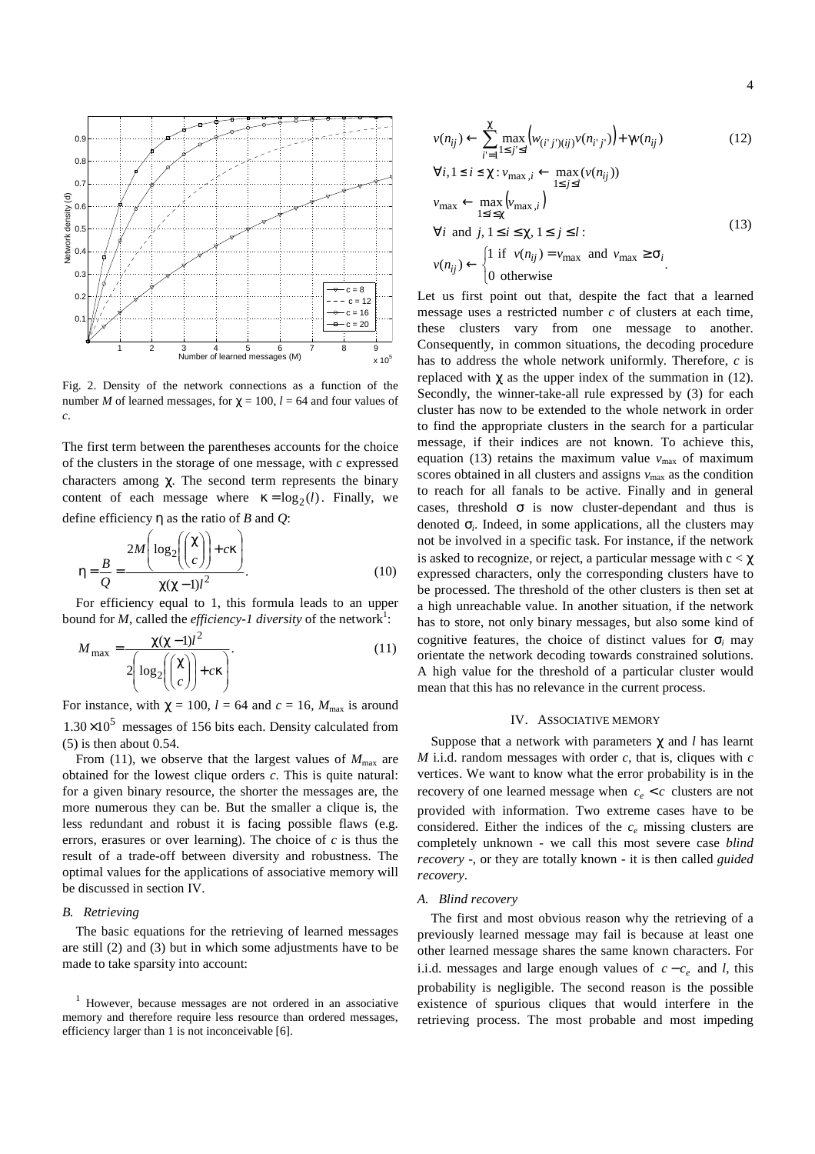

Fig. 2. Density of the network connections as a function of the number *M* of learned messages, for  $\gamma = 100$ ,  $l = 64$  and four values of *c*.

The first term between the parentheses accounts for the choice of the clusters in the storage of one message, with *c* expressed characters among  $\chi$ . The second term represents the binary content of each message where  $\kappa = \log_2(l)$ . Finally, we define efficiency η as the ratio of *B* and *Q*:

$$
\eta = \frac{B}{Q} = \frac{2M\left(\log_2\left(\binom{\chi}{c}\right) + c\kappa\right)}{\chi(\chi - 1)l^2}.
$$
\n(10)

For efficiency equal to 1, this formula leads to an upper bound for *M*, called the *efficiency-1 diversity* of the network<sup>1</sup>:

$$
M_{\text{max}} = \frac{\chi(\chi - 1)l^2}{2\left(\log_2\left(\binom{\chi}{c}\right) + c\kappa\right)}.
$$
\n(11)

For instance, with  $\chi = 100$ ,  $l = 64$  and  $c = 16$ ,  $M_{\text{max}}$  is around  $1.30 \times 10^5$  messages of 156 bits each. Density calculated from (5) is then about 0.54.

From (11), we observe that the largest values of  $M_{\text{max}}$  are obtained for the lowest clique orders *c*. This is quite natural: for a given binary resource, the shorter the messages are, the more numerous they can be. But the smaller a clique is, the less redundant and robust it is facing possible flaws (e.g. errors, erasures or over learning). The choice of *c* is thus the result of a trade-off between diversity and robustness. The optimal values for the applications of associative memory will be discussed in section IV.

# *B. Retrieving*

The basic equations for the retrieving of learned messages are still (2) and (3) but in which some adjustments have to be made to take sparsity into account:

$$
v(n_{ij}) \leftarrow \sum_{i=1}^{\chi} \max_{1 \le j \le l} \left( w_{(i'j')(ij)} v(n_{i'j'}) \right) + \gamma v(n_{ij})
$$
(12)  

$$
\forall i, 1 \le i \le \chi : v_{\max,i} \leftarrow \max_{1 \le j \le l} (v(n_{ij}))
$$
  

$$
v_{\max} \leftarrow \max_{1 \le i \le \chi} \left( v_{\max,i} \right)
$$
  

$$
\forall i \text{ and } j, 1 \le i \le \chi, 1 \le j \le l:
$$
  

$$
v(n_{ij}) \leftarrow \begin{cases} 1 \text{ if } v(n_{ij}) = v_{\max} \text{ and } v_{\max} \ge \sigma_i \\ 0 \text{ otherwise} \end{cases}
$$
(13)

Let us first point out that, despite the fact that a learned message uses a restricted number *c* of clusters at each time, these clusters vary from one message to another. Consequently, in common situations, the decoding procedure has to address the whole network uniformly. Therefore, *c* is replaced with  $\chi$  as the upper index of the summation in (12). Secondly, the winner-take-all rule expressed by (3) for each cluster has now to be extended to the whole network in order to find the appropriate clusters in the search for a particular message, if their indices are not known. To achieve this, equation (13) retains the maximum value  $v_{\text{max}}$  of maximum scores obtained in all clusters and assigns  $v_{\text{max}}$  as the condition to reach for all fanals to be active. Finally and in general cases, threshold  $\sigma$  is now cluster-dependant and thus is denoted σ*<sup>i</sup>* . Indeed, in some applications, all the clusters may not be involved in a specific task. For instance, if the network is asked to recognize, or reject, a particular message with  $c < \chi$ expressed characters, only the corresponding clusters have to be processed. The threshold of the other clusters is then set at a high unreachable value. In another situation, if the network has to store, not only binary messages, but also some kind of cognitive features, the choice of distinct values for  $\sigma$ <sub>i</sub> may orientate the network decoding towards constrained solutions. A high value for the threshold of a particular cluster would mean that this has no relevance in the current process.

## IV. ASSOCIATIVE MEMORY

Suppose that a network with parameters χ and *l* has learnt *M* i.i.d. random messages with order *c*, that is, cliques with *c* vertices. We want to know what the error probability is in the recovery of one learned message when  $c_e < c$  clusters are not provided with information. Two extreme cases have to be considered. Either the indices of the *c<sup>e</sup>* missing clusters are completely unknown - we call this most severe case *blind recovery* -, or they are totally known - it is then called *guided recovery*.

### *A. Blind recovery*

The first and most obvious reason why the retrieving of a previously learned message may fail is because at least one other learned message shares the same known characters. For i.i.d. messages and large enough values of  $c - c_e$  and *l*, this probability is negligible. The second reason is the possible existence of spurious cliques that would interfere in the retrieving process. The most probable and most impeding

<sup>&</sup>lt;sup>1</sup> However, because messages are not ordered in an associative memory and therefore require less resource than ordered messages, efficiency larger than 1 is not inconceivable [6].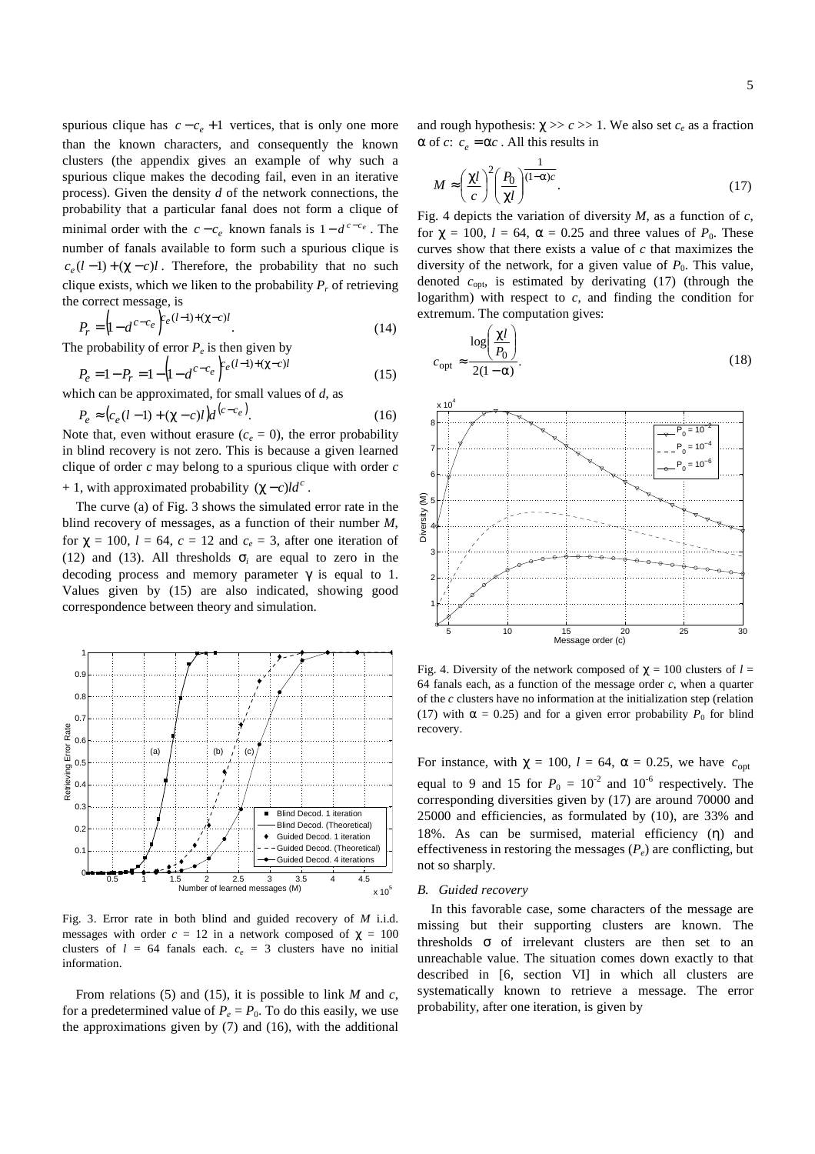spurious clique has  $c - c_e + 1$  vertices, that is only one more than the known characters, and consequently the known clusters (the appendix gives an example of why such a spurious clique makes the decoding fail, even in an iterative process). Given the density *d* of the network connections, the probability that a particular fanal does not form a clique of minimal order with the  $c - c_e$  known fanals is  $1 - d^{c - c_e}$ . The number of fanals available to form such a spurious clique is  $c_e(l-1) + (\chi - c)l$ . Therefore, the probability that no such clique exists, which we liken to the probability  $P_r$  of retrieving the correct message, is

$$
P_r = \left(1 - d^{c - c_e}\right)^{c_e (l-1) + (\chi - c)l}.\tag{14}
$$

The probability of error  $P_e$  is then given by

$$
P_e = 1 - P_r = 1 - \left(1 - d^{c - c_e}\right)^{c_e(l-1) + (\chi - c)l} \tag{15}
$$

which can be approximated, for small values of *d*, as

$$
P_e \approx (c_e (l-1) + (\chi - c) l) d^{(c - c_e)}.
$$
 (16)

Note that, even without erasure  $(c_e = 0)$ , the error probability in blind recovery is not zero. This is because a given learned clique of order *c* may belong to a spurious clique with order *c* + 1, with approximated probability  $(\chi - c)ld^c$ .

The curve (a) of Fig. 3 shows the simulated error rate in the blind recovery of messages, as a function of their number *M*, for  $\chi = 100$ ,  $l = 64$ ,  $c = 12$  and  $c_e = 3$ , after one iteration of (12) and (13). All thresholds  $\sigma_i$  are equal to zero in the decoding process and memory parameter  $\gamma$  is equal to 1. Values given by (15) are also indicated, showing good correspondence between theory and simulation.



Fig. 3. Error rate in both blind and guided recovery of *M* i.i.d. messages with order  $c = 12$  in a network composed of  $\chi = 100$ clusters of  $l = 64$  fanals each.  $c_e = 3$  clusters have no initial information.

From relations (5) and (15), it is possible to link *M* and *c*, for a predetermined value of  $P_e = P_0$ . To do this easily, we use the approximations given by (7) and (16), with the additional

and rough hypothesis:  $\chi \gg c \gg 1$ . We also set  $c_e$  as a fraction  $\alpha$  of *c*:  $c_e = \alpha c$ . All this results in

$$
M \approx \left(\frac{\chi l}{c}\right)^2 \left(\frac{P_0}{\chi l}\right)^{(1-\alpha)c}.\tag{17}
$$

Fig. 4 depicts the variation of diversity *M*, as a function of *c*, for  $\gamma = 100$ ,  $l = 64$ ,  $\alpha = 0.25$  and three values of  $P_0$ . These curves show that there exists a value of *c* that maximizes the diversity of the network, for a given value of  $P_0$ . This value, denoted *c*opt, is estimated by derivating (17) (through the logarithm) with respect to  $c$ , and finding the condition for extremum. The computation gives:

$$
c_{\rm opt} \approx \frac{\log \left(\frac{\chi l}{P_0}\right)}{2(1-\alpha)}.\tag{18}
$$



Fig. 4. Diversity of the network composed of  $\gamma = 100$  clusters of  $l =$ 64 fanals each, as a function of the message order  $c$ , when a quarter of the *c* clusters have no information at the initialization step (relation (17) with  $\alpha = 0.25$ ) and for a given error probability  $P_0$  for blind recovery.

For instance, with  $\chi = 100$ ,  $l = 64$ ,  $\alpha = 0.25$ , we have  $c_{\text{opt}}$ equal to 9 and 15 for  $P_0 = 10^{-2}$  and 10<sup>-6</sup> respectively. The corresponding diversities given by (17) are around 70000 and 25000 and efficiencies, as formulated by (10), are 33% and 18%. As can be surmised, material efficiency (n) and effectiveness in restoring the messages  $(P_e)$  are conflicting, but not so sharply.

# *B. Guided recovery*

In this favorable case, some characters of the message are missing but their supporting clusters are known. The thresholds  $\sigma$  of irrelevant clusters are then set to an unreachable value. The situation comes down exactly to that described in [6, section VI] in which all clusters are systematically known to retrieve a message. The error probability, after one iteration, is given by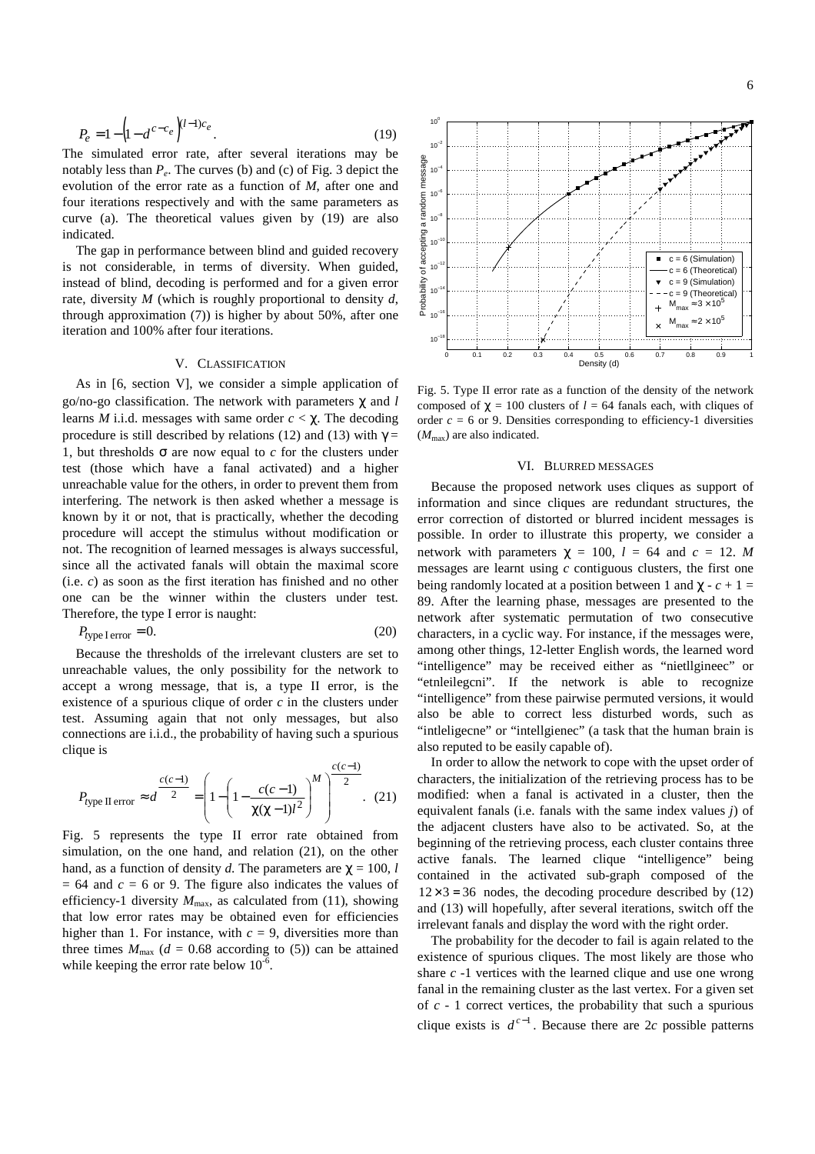$$
P_e = 1 - \left(1 - d^{c - c_e}\right)^{(l-1)c_e}.\tag{19}
$$

The simulated error rate, after several iterations may be notably less than *P<sup>e</sup>* . The curves (b) and (c) of Fig. 3 depict the evolution of the error rate as a function of *M*, after one and four iterations respectively and with the same parameters as curve (a). The theoretical values given by (19) are also indicated.

The gap in performance between blind and guided recovery is not considerable, in terms of diversity. When guided, instead of blind, decoding is performed and for a given error rate, diversity *M* (which is roughly proportional to density *d*, through approximation (7)) is higher by about 50%, after one iteration and 100% after four iterations.

# V. CLASSIFICATION

As in [6, section V], we consider a simple application of go/no-go classification. The network with parameters χ and *l* learns *M* i.i.d. messages with same order  $c < \chi$ . The decoding procedure is still described by relations (12) and (13) with  $\gamma$  = 1, but thresholds  $\sigma$  are now equal to *c* for the clusters under test (those which have a fanal activated) and a higher unreachable value for the others, in order to prevent them from interfering. The network is then asked whether a message is known by it or not, that is practically, whether the decoding procedure will accept the stimulus without modification or not. The recognition of learned messages is always successful, since all the activated fanals will obtain the maximal score (i.e. *c*) as soon as the first iteration has finished and no other one can be the winner within the clusters under test. Therefore, the type I error is naught:

$$
P_{\text{type I error}} = 0. \tag{20}
$$

Because the thresholds of the irrelevant clusters are set to unreachable values, the only possibility for the network to accept a wrong message, that is, a type II error, is the existence of a spurious clique of order *c* in the clusters under test. Assuming again that not only messages, but also connections are i.i.d., the probability of having such a spurious clique is

$$
P_{\text{type II error}} \approx d^{\frac{c(c-1)}{2}} = \left(1 - \left(1 - \frac{c(c-1)}{\chi(\chi - 1)l^2}\right)^M\right)^{\frac{c(c-1)}{2}}.
$$
 (21)

Fig. 5 represents the type II error rate obtained from simulation, on the one hand, and relation (21), on the other hand, as a function of density *d*. The parameters are  $\chi = 100$ , *l*  $= 64$  and  $c = 6$  or 9. The figure also indicates the values of efficiency-1 diversity  $M_{\text{max}}$ , as calculated from (11), showing that low error rates may be obtained even for efficiencies higher than 1. For instance, with  $c = 9$ , diversities more than three times  $M_{\text{max}}$  ( $d = 0.68$  according to (5)) can be attained while keeping the error rate below  $10^{-6}$ .

Fig. 5. Type II error rate as a function of the density of the network composed of  $\chi = 100$  clusters of  $l = 64$  fanals each, with cliques of order  $c = 6$  or 9. Densities corresponding to efficiency-1 diversities  $(M_{\text{max}})$  are also indicated.

## VI. BLURRED MESSAGES

Because the proposed network uses cliques as support of information and since cliques are redundant structures, the error correction of distorted or blurred incident messages is possible. In order to illustrate this property, we consider a network with parameters  $\chi = 100$ ,  $l = 64$  and  $c = 12$ . *M* messages are learnt using *c* contiguous clusters, the first one being randomly located at a position between 1 and  $\chi$  -  $c + 1 =$ 89. After the learning phase, messages are presented to the network after systematic permutation of two consecutive characters, in a cyclic way. For instance, if the messages were, among other things, 12-letter English words, the learned word "intelligence" may be received either as "nietllgineec" or "etnleilegcni". If the network is able to recognize "intelligence" from these pairwise permuted versions, it would also be able to correct less disturbed words, such as "intleligecne" or "intellgienec" (a task that the human brain is also reputed to be easily capable of).

In order to allow the network to cope with the upset order of characters, the initialization of the retrieving process has to be modified: when a fanal is activated in a cluster, then the equivalent fanals (i.e. fanals with the same index values *j*) of the adjacent clusters have also to be activated. So, at the beginning of the retrieving process, each cluster contains three active fanals. The learned clique "intelligence" being contained in the activated sub-graph composed of the  $12\times3 = 36$  nodes, the decoding procedure described by (12) and (13) will hopefully, after several iterations, switch off the irrelevant fanals and display the word with the right order.

The probability for the decoder to fail is again related to the existence of spurious cliques. The most likely are those who share *c* -1 vertices with the learned clique and use one wrong fanal in the remaining cluster as the last vertex. For a given set of *c* - 1 correct vertices, the probability that such a spurious clique exists is  $d^{c-1}$ . Because there are 2*c* possible patterns

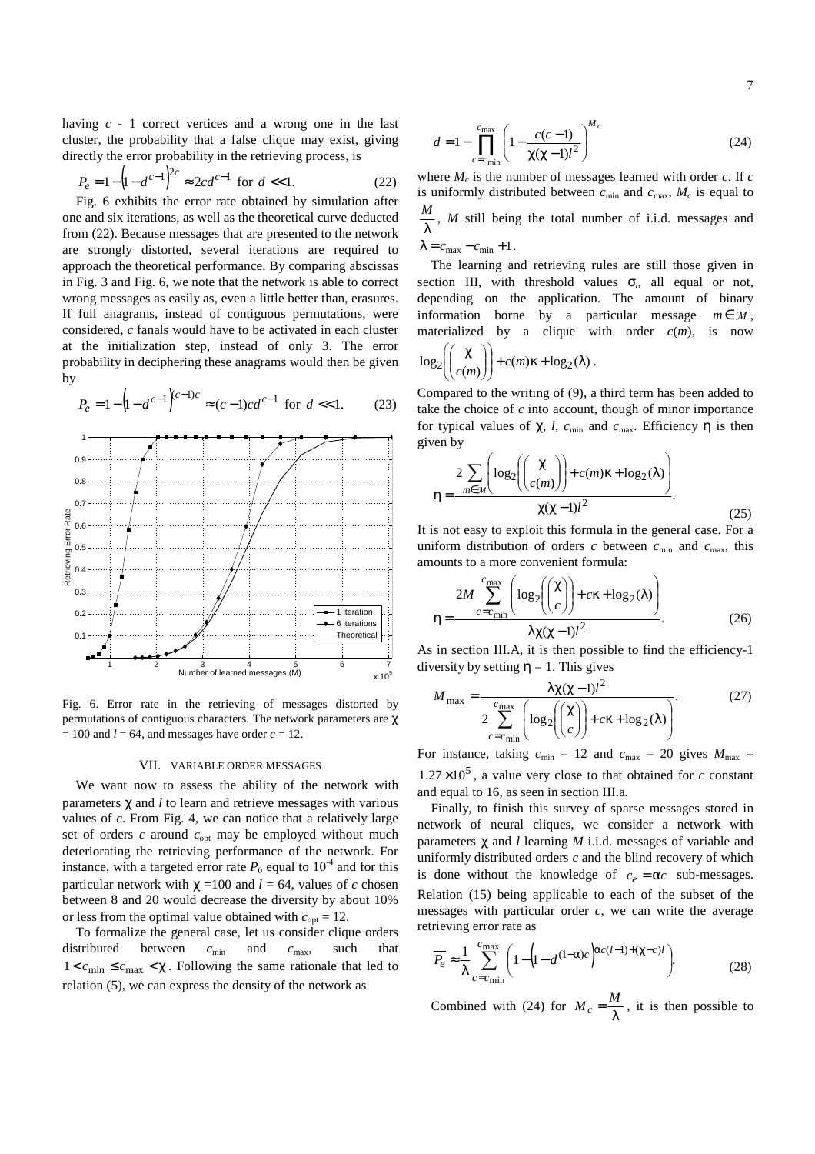having *c* - 1 correct vertices and a wrong one in the last cluster, the probability that a false clique may exist, giving directly the error probability in the retrieving process, is

$$
P_e = 1 - (1 - d^{c-1})^{2c} \approx 2cd^{c-1} \text{ for } d \ll 1.
$$
 (22)

Fig. 6 exhibits the error rate obtained by simulation after one and six iterations, as well as the theoretical curve deducted from (22). Because messages that are presented to the network are strongly distorted, several iterations are required to approach the theoretical performance. By comparing abscissas in Fig. 3 and Fig. 6, we note that the network is able to correct wrong messages as easily as, even a little better than, erasures. If full anagrams, instead of contiguous permutations, were considered, *c* fanals would have to be activated in each cluster at the initialization step, instead of only 3. The error probability in deciphering these anagrams would then be given by

$$
P_e = 1 - \left(1 - d^{c-1}\right)^{(c-1)c} \approx (c-1)c d^{c-1} \text{ for } d < 1.
$$
 (23)



Fig. 6. Error rate in the retrieving of messages distorted by permutations of contiguous characters. The network parameters are χ  $= 100$  and  $l = 64$ , and messages have order  $c = 12$ .

## VII. VARIABLE ORDER MESSAGES

We want now to assess the ability of the network with parameters χ and *l* to learn and retrieve messages with various values of *c*. From Fig. 4, we can notice that a relatively large set of orders *c* around  $c<sub>opt</sub>$  may be employed without much deteriorating the retrieving performance of the network. For instance, with a targeted error rate  $P_0$  equal to  $10^{-4}$  and for this particular network with  $\chi$  =100 and *l* = 64, values of *c* chosen between 8 and 20 would decrease the diversity by about 10% or less from the optimal value obtained with  $c_{opt} = 12$ .

To formalize the general case, let us consider clique orders distributed between  $c_{min}$  and  $c_{max}$ , such that  $1 < c_{\text{min}} \leq c_{\text{max}} < \chi$ . Following the same rationale that led to relation (5), we can express the density of the network as

$$
d = 1 - \prod_{c = c_{\min}}^{c_{\max}} \left( 1 - \frac{c(c - 1)}{\chi(\chi - 1)l^2} \right)^{M_c}
$$
 (24)

where  $M_c$  is the number of messages learned with order  $c$ . If  $c$ is uniformly distributed between  $c_{\min}$  and  $c_{\max}$ ,  $M_c$  is equal to λ  $\frac{M}{\lambda}$ , *M* still being the total number of i.i.d. messages and  $\lambda = c_{\text{max}} - c_{\text{min}} + 1$ .

The learning and retrieving rules are still those given in section III, with threshold values  $\sigma_i$ , all equal or not, depending on the application. The amount of binary information borne by a particular message  $m \in \mathcal{M}$ , materialized by a clique with order  $c(m)$ , is now

$$
\log_2\left(\binom{\chi}{c(m)}\right) + c(m)\kappa + \log_2(\lambda)
$$

Compared to the writing of (9), a third term has been added to take the choice of *c* into account, though of minor importance for typical values of  $\chi$ , *l*,  $c_{\text{min}}$  and  $c_{\text{max}}$ . Efficiency  $\eta$  is then given by

.

$$
\eta = \frac{2 \sum_{m \in \mathcal{M}} \left( \log_2 \left( \binom{\chi}{c(m)} \right) + c(m)\kappa + \log_2(\lambda) \right)}{\chi(\chi - 1)l^2}.
$$
\n(25)

It is not easy to exploit this formula in the general case. For a uniform distribution of orders  $c$  between  $c_{\min}$  and  $c_{\max}$ , this amounts to a more convenient formula:

$$
\eta = \frac{2M \sum_{c=c_{\text{min}}}^{c_{\text{max}}} \left( \log_2 \left( \binom{\chi}{c} \right) + c\kappa + \log_2(\lambda) \right)}{\lambda \chi(\chi - 1)l^2}.
$$
 (26)

As in section III.A, it is then possible to find the efficiency-1 diversity by setting  $\eta = 1$ . This gives

$$
M_{\text{max}} = \frac{\lambda \chi (\chi - 1) l^2}{2 \sum_{c = c_{\text{min}}}^{c_{\text{max}}} \left( \log_2 \left( \binom{\chi}{c} \right) + c \kappa + \log_2(\lambda) \right)}.
$$
(27)

For instance, taking  $c_{\min} = 12$  and  $c_{\max} = 20$  gives  $M_{\max} =$  $1.27 \times 10^5$ , a value very close to that obtained for *c* constant and equal to 16, as seen in section III.a.

Finally, to finish this survey of sparse messages stored in network of neural cliques, we consider a network with parameters χ and *l* learning *M* i.i.d. messages of variable and uniformly distributed orders *c* and the blind recovery of which is done without the knowledge of  $c_e = \alpha c$  sub-messages. Relation (15) being applicable to each of the subset of the messages with particular order *c*, we can write the average retrieving error rate as

$$
\overline{P_e} \approx \frac{1}{\lambda} \sum_{c=c_{\text{min}}}^{c_{\text{max}}} \left( 1 - \left( 1 - d^{(1-\alpha)c} \right)^{\alpha c(l-1) + (\chi - c)l} \right). \tag{28}
$$

Combined with (24) for  $M_c = \frac{M}{\lambda}$ , it is then possible to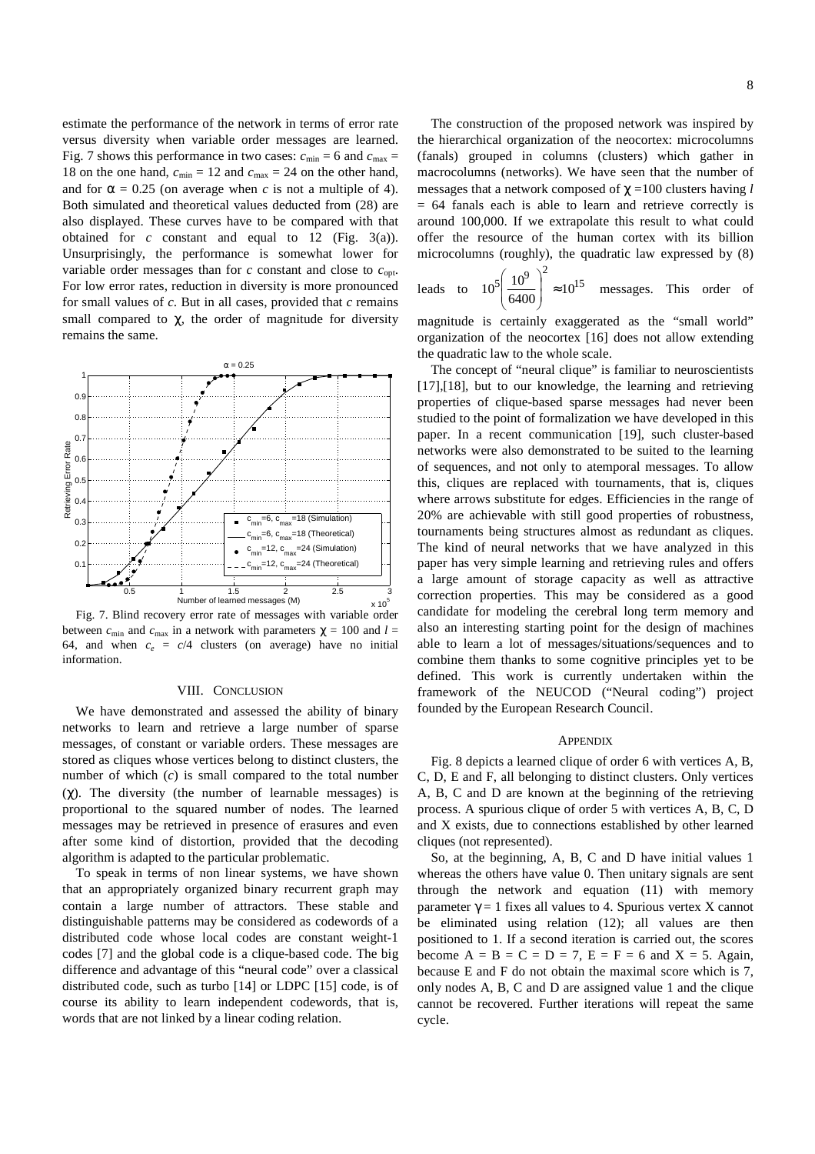estimate the performance of the network in terms of error rate versus diversity when variable order messages are learned. Fig. 7 shows this performance in two cases:  $c_{\text{min}} = 6$  and  $c_{\text{max}} =$ 18 on the one hand,  $c_{\text{min}} = 12$  and  $c_{\text{max}} = 24$  on the other hand, and for  $\alpha = 0.25$  (on average when *c* is not a multiple of 4). Both simulated and theoretical values deducted from (28) are also displayed. These curves have to be compared with that obtained for  $c$  constant and equal to 12 (Fig. 3(a)). Unsurprisingly, the performance is somewhat lower for variable order messages than for  $c$  constant and close to  $c_{\text{opt}}$ . For low error rates, reduction in diversity is more pronounced for small values of *c*. But in all cases, provided that *c* remains small compared to  $\chi$ , the order of magnitude for diversity remains the same.



Fig. 7. Blind recovery error rate of messages with variable order between  $c_{\min}$  and  $c_{\max}$  in a network with parameters  $\gamma = 100$  and  $l =$ 64, and when  $c_e = c/4$  clusters (on average) have no initial information.

#### VIII. CONCLUSION

We have demonstrated and assessed the ability of binary networks to learn and retrieve a large number of sparse messages, of constant or variable orders. These messages are stored as cliques whose vertices belong to distinct clusters, the number of which (*c*) is small compared to the total number (χ). The diversity (the number of learnable messages) is proportional to the squared number of nodes. The learned messages may be retrieved in presence of erasures and even after some kind of distortion, provided that the decoding algorithm is adapted to the particular problematic.

To speak in terms of non linear systems, we have shown that an appropriately organized binary recurrent graph may contain a large number of attractors. These stable and distinguishable patterns may be considered as codewords of a distributed code whose local codes are constant weight-1 codes [7] and the global code is a clique-based code. The big difference and advantage of this "neural code" over a classical distributed code, such as turbo [14] or LDPC [15] code, is of course its ability to learn independent codewords, that is, words that are not linked by a linear coding relation.

The construction of the proposed network was inspired by the hierarchical organization of the neocortex: microcolumns (fanals) grouped in columns (clusters) which gather in macrocolumns (networks). We have seen that the number of messages that a network composed of χ =100 clusters having *l*  $= 64$  fanals each is able to learn and retrieve correctly is around 100,000. If we extrapolate this result to what could offer the resource of the human cortex with its billion microcolumns (roughly), the quadratic law expressed by (8)

leads to 
$$
10^5 \left( \frac{10^9}{6400} \right)^2 \approx 10^{15}
$$
 messages. This order of

magnitude is certainly exaggerated as the "small world" organization of the neocortex [16] does not allow extending the quadratic law to the whole scale.

The concept of "neural clique" is familiar to neuroscientists [17],[18], but to our knowledge, the learning and retrieving properties of clique-based sparse messages had never been studied to the point of formalization we have developed in this paper. In a recent communication [19], such cluster-based networks were also demonstrated to be suited to the learning of sequences, and not only to atemporal messages. To allow this, cliques are replaced with tournaments, that is, cliques where arrows substitute for edges. Efficiencies in the range of 20% are achievable with still good properties of robustness, tournaments being structures almost as redundant as cliques. The kind of neural networks that we have analyzed in this paper has very simple learning and retrieving rules and offers a large amount of storage capacity as well as attractive correction properties. This may be considered as a good candidate for modeling the cerebral long term memory and also an interesting starting point for the design of machines able to learn a lot of messages/situations/sequences and to combine them thanks to some cognitive principles yet to be defined. This work is currently undertaken within the framework of the NEUCOD ("Neural coding") project founded by the European Research Council.

#### **APPENDIX**

Fig. 8 depicts a learned clique of order 6 with vertices A, B, C, D, E and F, all belonging to distinct clusters. Only vertices A, B, C and D are known at the beginning of the retrieving process. A spurious clique of order 5 with vertices A, B, C, D and X exists, due to connections established by other learned cliques (not represented).

So, at the beginning, A, B, C and D have initial values 1 whereas the others have value 0. Then unitary signals are sent through the network and equation (11) with memory parameter  $\gamma = 1$  fixes all values to 4. Spurious vertex X cannot be eliminated using relation (12); all values are then positioned to 1. If a second iteration is carried out, the scores become  $A = B = C = D = 7$ ,  $E = F = 6$  and  $X = 5$ . Again, because E and F do not obtain the maximal score which is 7, only nodes A, B, C and D are assigned value 1 and the clique cannot be recovered. Further iterations will repeat the same cycle.